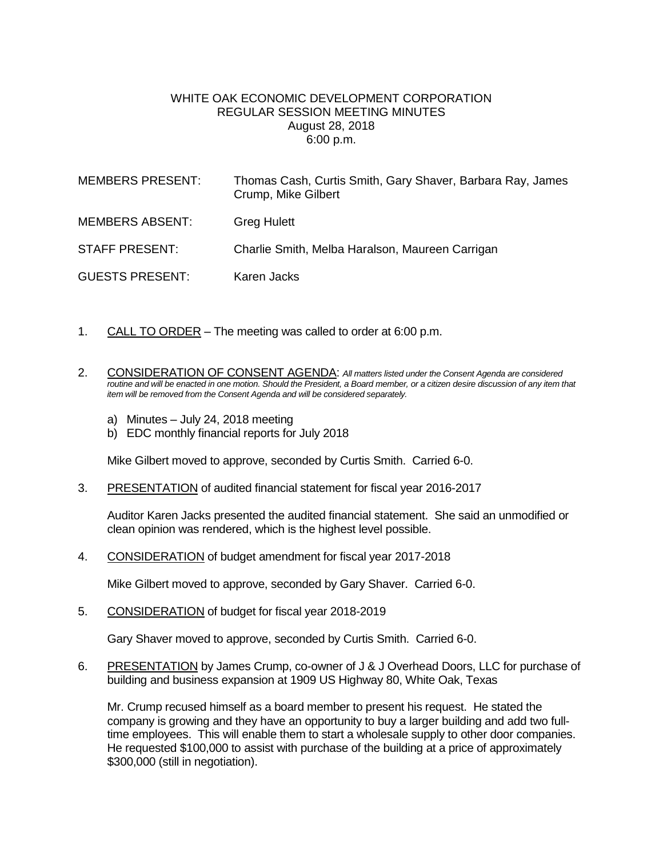## WHITE OAK ECONOMIC DEVELOPMENT CORPORATION REGULAR SESSION MEETING MINUTES August 28, 2018 6:00 p.m.

| <b>MEMBERS PRESENT:</b> | Thomas Cash, Curtis Smith, Gary Shaver, Barbara Ray, James<br>Crump, Mike Gilbert |
|-------------------------|-----------------------------------------------------------------------------------|
| <b>MEMBERS ABSENT:</b>  | <b>Greg Hulett</b>                                                                |
| <b>STAFF PRESENT:</b>   | Charlie Smith, Melba Haralson, Maureen Carrigan                                   |
| <b>GUESTS PRESENT:</b>  | Karen Jacks                                                                       |

- 1. CALL TO ORDER The meeting was called to order at 6:00 p.m.
- 2. CONSIDERATION OF CONSENT AGENDA: *All matters listed under the Consent Agenda are considered routine and will be enacted in one motion. Should the President, a Board member, or a citizen desire discussion of any item that item will be removed from the Consent Agenda and will be considered separately.*
	- a) Minutes July 24, 2018 meeting
	- b) EDC monthly financial reports for July 2018

Mike Gilbert moved to approve, seconded by Curtis Smith. Carried 6-0.

3. PRESENTATION of audited financial statement for fiscal year 2016-2017

Auditor Karen Jacks presented the audited financial statement. She said an unmodified or clean opinion was rendered, which is the highest level possible.

4. CONSIDERATION of budget amendment for fiscal year 2017-2018

Mike Gilbert moved to approve, seconded by Gary Shaver. Carried 6-0.

5. CONSIDERATION of budget for fiscal year 2018-2019

Gary Shaver moved to approve, seconded by Curtis Smith. Carried 6-0.

6. PRESENTATION by James Crump, co-owner of J & J Overhead Doors, LLC for purchase of building and business expansion at 1909 US Highway 80, White Oak, Texas

Mr. Crump recused himself as a board member to present his request. He stated the company is growing and they have an opportunity to buy a larger building and add two fulltime employees. This will enable them to start a wholesale supply to other door companies. He requested \$100,000 to assist with purchase of the building at a price of approximately \$300,000 (still in negotiation).